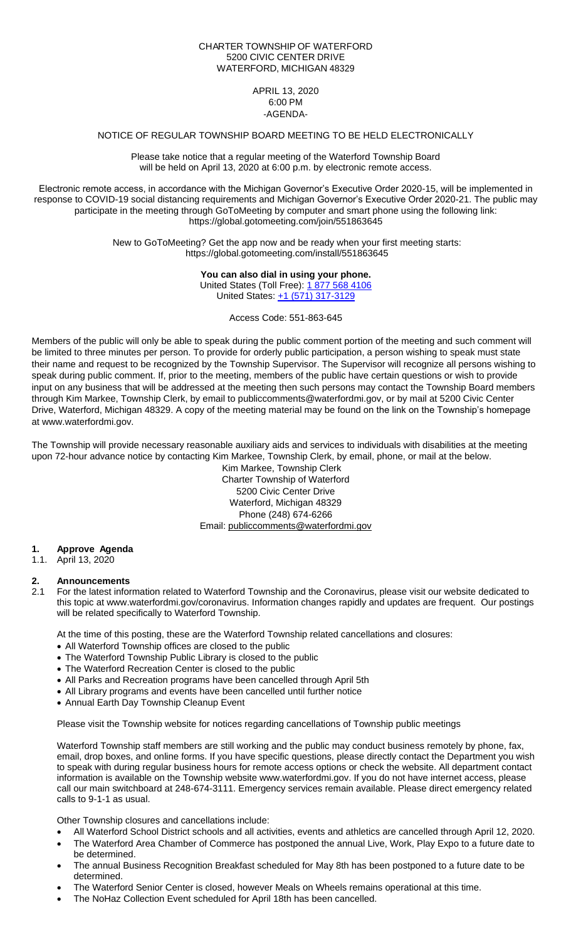#### CHARTER TOWNSHIP OF WATERFORD 5200 CIVIC CENTER DRIVE WATERFORD, MICHIGAN 48329

#### APRIL 13, 2020 6:00 PM -AGENDA-

## NOTICE OF REGULAR TOWNSHIP BOARD MEETING TO BE HELD ELECTRONICALLY

Please take notice that a regular meeting of the Waterford Township Board will be held on April 13, 2020 at 6:00 p.m. by electronic remote access.

Electronic remote access, in accordance with the Michigan Governor's Executive Order 2020-15, will be implemented in response to COVID-19 social distancing requirements and Michigan Governor's Executive Order 2020-21. The public may participate in the meeting through GoToMeeting by computer and smart phone using the following link: <https://global.gotomeeting.com/join/551863645>

> New to GoToMeeting? Get the app now and be ready when your first meeting starts: <https://global.gotomeeting.com/install/551863645>

### **You can also dial in using your phone.**

United States (Toll Free): [1 877 568 4106](tel:+18775684106,,551863645) United States: [+1 \(571\) 317-3129](tel:+15713173129,,551863645)

Access Code: 551-863-645

Members of the public will only be able to speak during the public comment portion of the meeting and such comment will be limited to three minutes per person. To provide for orderly public participation, a person wishing to speak must state their name and request to be recognized by the Township Supervisor. The Supervisor will recognize all persons wishing to speak during public comment. If, prior to the meeting, members of the public have certain questions or wish to provide input on any business that will be addressed at the meeting then such persons may contact the Township Board members through Kim Markee, Township Clerk, by email to publiccomments@waterfordmi.gov, or by mail at 5200 Civic Center Drive, Waterford, Michigan 48329. A copy of the meeting material may be found on the link on the Township's homepage at www.waterfordmi.gov.

The Township will provide necessary reasonable auxiliary aids and services to individuals with disabilities at the meeting upon 72-hour advance notice by contacting Kim Markee, Township Clerk, by email, phone, or mail at the below.

Kim Markee, Township Clerk Charter Township of Waterford 5200 Civic Center Drive Waterford, Michigan 48329 Phone (248) 674-6266 Email: [publiccomments@waterfordmi.gov](mailto:publiccomments@waterfordmi.gov)

#### **1. Approve Agenda**

1.1. April 13, 2020

# **2. Announcements**

2.1 For the latest information related to Waterford Township and the Coronavirus, please visit our website dedicated to this topic at www.waterfordmi.gov/coronavirus. Information changes rapidly and updates are frequent. Our postings will be related specifically to Waterford Township.

At the time of this posting, these are the Waterford Township related cancellations and closures:

- All Waterford Township offices are closed to the public
- The Waterford Township Public Library is closed to the public
- The Waterford Recreation Center is closed to the public
- All Parks and Recreation programs have been cancelled through April 5th
- All Library programs and events have been cancelled until further notice
- Annual Earth Day Township Cleanup Event

Please visit the Township website for notices regarding cancellations of Township public meetings

Waterford Township staff members are still working and the public may conduct business remotely by phone, fax, email, drop boxes, and online forms. If you have specific questions, please directly contact the Department you wish to speak with during regular business hours for remote access options or check the website. All department contact information is available on the Township website www.waterfordmi.gov. If you do not have internet access, please call our main switchboard at 248-674-3111. Emergency services remain available. Please direct emergency related calls to 9-1-1 as usual.

Other Township closures and cancellations include:

- All Waterford School District schools and all activities, events and athletics are cancelled through April 12, 2020.
- The Waterford Area Chamber of Commerce has postponed the annual Live, Work, Play Expo to a future date to be determined.
- The annual Business Recognition Breakfast scheduled for May 8th has been postponed to a future date to be determined.
- The Waterford Senior Center is closed, however Meals on Wheels remains operational at this time.
- The NoHaz Collection Event scheduled for April 18th has been cancelled.